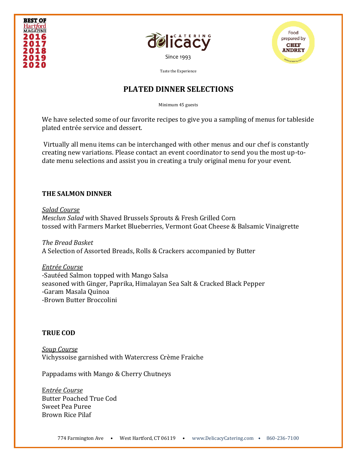





# **PLATED DINNER SELECTIONS**

Minimum 45 guests

We have selected some of our favorite recipes to give you a sampling of menus for tableside plated entrée service and dessert.

Virtually all menu items can be interchanged with other menus and our chef is constantly creating new variations. Please contact an event coordinator to send you the most up-todate menu selections and assist you in creating a truly original menu for your event.

### **THE SALMON DINNER**

*Salad Course Mesclun Salad* with Shaved Brussels Sprouts & Fresh Grilled Corn tossed with Farmers Market Blueberries, Vermont Goat Cheese & Balsamic Vinaigrette

*The Bread Basket* A Selection of Assorted Breads, Rolls & Crackers accompanied by Butter

*Entrée Course*  -Sautéed Salmon topped with Mango Salsa seasoned with Ginger, Paprika, Himalayan Sea Salt & Cracked Black Pepper -Garam Masala Quinoa -Brown Butter Broccolini

### **TRUE COD**

*Soup Course*  Vichyssoise garnished with Watercress Crème Fraiche

Pappadams with Mango & Cherry Chutneys

E*ntrée Course* Butter Poached True Cod Sweet Pea Puree Brown Rice Pilaf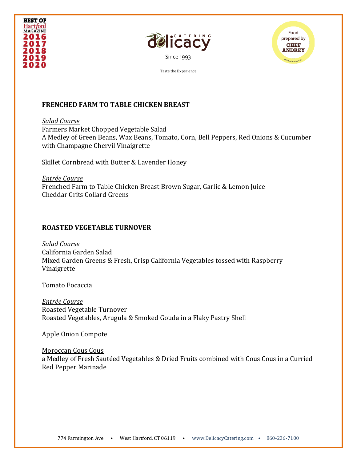





### **FRENCHED FARM TO TABLE CHICKEN BREAST**

*Salad Course*  Farmers Market Chopped Vegetable Salad A Medley of Green Beans, Wax Beans, Tomato, Corn, Bell Peppers, Red Onions & Cucumber with Champagne Chervil Vinaigrette

Skillet Cornbread with Butter & Lavender Honey

*Entrée Course*  Frenched Farm to Table Chicken Breast Brown Sugar, Garlic & Lemon Juice Cheddar Grits Collard Greens

## **ROASTED VEGETABLE TURNOVER**

*Salad Course*  California Garden Salad Mixed Garden Greens & Fresh, Crisp California Vegetables tossed with Raspberry Vinaigrette

Tomato Focaccia

*Entrée Course*  Roasted Vegetable Turnover Roasted Vegetables, Arugula & Smoked Gouda in a Flaky Pastry Shell

Apple Onion Compote

Moroccan Cous Cous a Medley of Fresh Sautéed Vegetables & Dried Fruits combined with Cous Cous in a Curried Red Pepper Marinade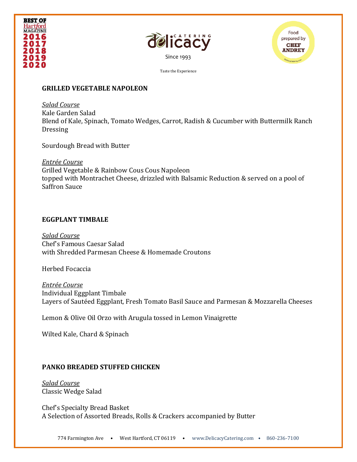





### **GRILLED VEGETABLE NAPOLEON**

*Salad Course*  Kale Garden Salad Blend of Kale, Spinach, Tomato Wedges, Carrot, Radish & Cucumber with Buttermilk Ranch **Dressing** 

Sourdough Bread with Butter

*Entrée Course*  Grilled Vegetable & Rainbow Cous Cous Napoleon topped with Montrachet Cheese, drizzled with Balsamic Reduction & served on a pool of Saffron Sauce

#### **EGGPLANT TIMBALE**

*Salad Course*  Chef's Famous Caesar Salad with Shredded Parmesan Cheese & Homemade Croutons

Herbed Focaccia

*Entrée Course*  Individual Eggplant Timbale Layers of Sautéed Eggplant, Fresh Tomato Basil Sauce and Parmesan & Mozzarella Cheeses

Lemon & Olive Oil Orzo with Arugula tossed in Lemon Vinaigrette

Wilted Kale, Chard & Spinach

### **PANKO BREADED STUFFED CHICKEN**

*Salad Course*  Classic Wedge Salad

Chef's Specialty Bread Basket A Selection of Assorted Breads, Rolls & Crackers accompanied by Butter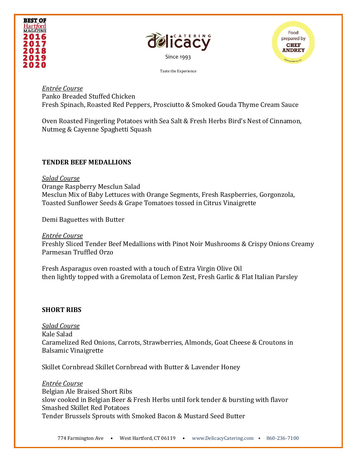





#### *Entrée Course*  Panko Breaded Stuffed Chicken Fresh Spinach, Roasted Red Peppers, Prosciutto & Smoked Gouda Thyme Cream Sauce

Oven Roasted Fingerling Potatoes with Sea Salt & Fresh Herbs Bird's Nest of Cinnamon, Nutmeg & Cayenne Spaghetti Squash

## **TENDER BEEF MEDALLIONS**

### *Salad Course*

Orange Raspberry Mesclun Salad Mesclun Mix of Baby Lettuces with Orange Segments, Fresh Raspberries, Gorgonzola, Toasted Sunflower Seeds & Grape Tomatoes tossed in Citrus Vinaigrette

Demi Baguettes with Butter

*Entrée Course*  Freshly Sliced Tender Beef Medallions with Pinot Noir Mushrooms & Crispy Onions Creamy Parmesan Truffled Orzo

Fresh Asparagus oven roasted with a touch of Extra Virgin Olive Oil then lightly topped with a Gremolata of Lemon Zest, Fresh Garlic & Flat Italian Parsley

# **SHORT RIBS**

*Salad Course*  Kale Salad Caramelized Red Onions, Carrots, Strawberries, Almonds, Goat Cheese & Croutons in Balsamic Vinaigrette

Skillet Cornbread Skillet Cornbread with Butter & Lavender Honey

*Entrée Course*  Belgian Ale Braised Short Ribs slow cooked in Belgian Beer & Fresh Herbs until fork tender & bursting with flavor Smashed Skillet Red Potatoes Tender Brussels Sprouts with Smoked Bacon & Mustard Seed Butter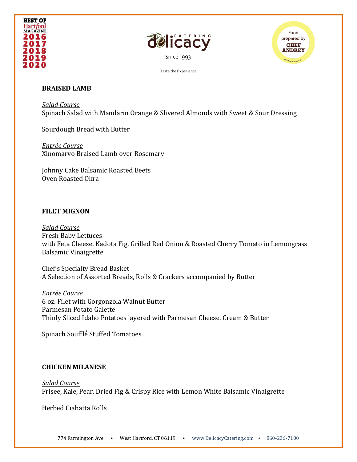





### **BRAISED LAMB**

*Salad Course*  Spinach Salad with Mandarin Orange & Slivered Almonds with Sweet & Sour Dressing

Sourdough Bread with Butter

*Entrée Course*  Xinomarvo Braised Lamb over Rosemary

Johnny Cake Balsamic Roasted Beets Oven Roasted Okra

### **FILET MIGNON**

*Salad Course*  Fresh Baby Lettuces with Feta Cheese, Kadota Fig, Grilled Red Onion & Roasted Cherry Tomato in Lemongrass Balsamic Vinaigrette

Chef's Specialty Bread Basket A Selection of Assorted Breads, Rolls & Crackers accompanied by Butter

*Entrée Course*  6 oz. Filet with Gorgonzola Walnut Butter Parmesan Potato Galette Thinly Sliced Idaho Potatoes layered with Parmesan Cheese, Cream & Butter

Spinach Soufflé ́Stuffed Tomatoes

### **CHICKEN MILANESE**

*Salad Course*  Frisee, Kale, Pear, Dried Fig & Crispy Rice with Lemon White Balsamic Vinaigrette

Herbed Ciabatta Rolls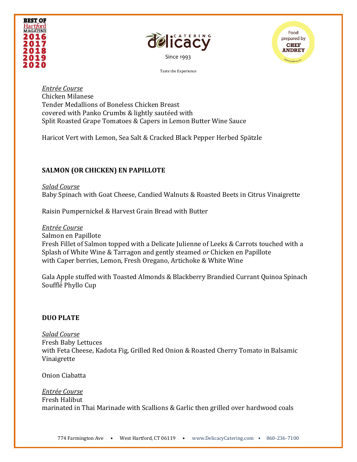





*Entrée Course*  Chicken Milanese Tender Medallions of Boneless Chicken Breast covered with Panko Crumbs & lightly sautéed with Split Roasted Grape Tomatoes & Capers in Lemon Butter Wine Sauce

Haricot Vert with Lemon, Sea Salt & Cracked Black Pepper Herbed Spätzle

# **SALMON (OR CHICKEN) EN PAPILLOTE**

*Salad Course*  Baby Spinach with Goat Cheese, Candied Walnuts & Roasted Beets in Citrus Vinaigrette

Raisin Pumpernickel & Harvest Grain Bread with Butter

*Entrée Course*  Salmon en Papillote Fresh Fillet of Salmon topped with a Delicate Julienne of Leeks & Carrots touched with a Splash of White Wine & Tarragon and gently steamed *or* Chicken en Papillote with Caper berries, Lemon, Fresh Oregano, Artichoke & White Wine

Gala Apple stuffed with Toasted Almonds & Blackberry Brandied Currant Quinoa Spinach Soufflé ́Phyllo Cup

## **DUO PLATE**

*Salad Course*  Fresh Baby Lettuces with Feta Cheese, Kadota Fig, Grilled Red Onion & Roasted Cherry Tomato in Balsamic Vinaigrette

Onion Ciabatta

## *Entrée Course*

Fresh Halibut marinated in Thai Marinade with Scallions & Garlic then grilled over hardwood coals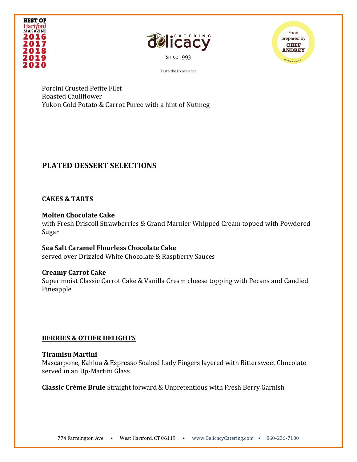





Porcini Crusted Petite Filet Roasted Cauliflower Yukon Gold Potato & Carrot Puree with a hint of Nutmeg

# **PLATED DESSERT SELECTIONS**

## **CAKES & TARTS**

### **Molten Chocolate Cake**

with Fresh Driscoll Strawberries & Grand Marnier Whipped Cream topped with Powdered Sugar

**Sea Salt Caramel Flourless Chocolate Cake** served over Drizzled White Chocolate & Raspberry Sauces

## **Creamy Carrot Cake**

Super moist Classic Carrot Cake & Vanilla Cream cheese topping with Pecans and Candied Pineapple

## **BERRIES & OTHER DELIGHTS**

### **Tiramisu Martini**

Mascarpone, Kahlua & Espresso Soaked Lady Fingers layered with Bittersweet Chocolate served in an Up-Martini Glass

**Classic Crème Brule** Straight forward & Unpretentious with Fresh Berry Garnish